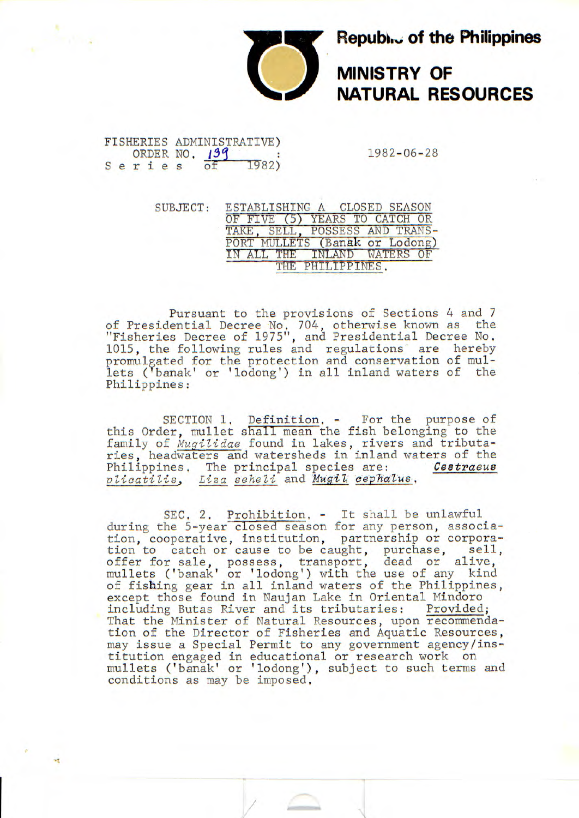

## **Republic of the Philippines<br>MINISTRY OF<br>NATURAL RESOURCES MINISTRY OF NATURAL RESOURCES**

## FISHERIES ADMINISTRATIVE) ORDER NO.  $1982-06-28$ <br>ries of 1982) Series

SUBJECT: ESTABLISHING A CLOSED SEASON OF FIVE (5) YEARS TO CATCH OR TAKE, SELL, POSSESS AND TRANS-PORT MULLETS (Banak or Lodong) IN ALL THE INLAND WATERS OF THE PHILIPPINES.

Pursuant to the provisions of Sections 4 and 7 of Presidential Decree No, 704, otherwise known as the "Fisheries Decree of 1975", and Presidential Decree No. 1015, the following rules and regulations are hereby promulgated for the protection and conservation of mullets ('banak' or 'lodong') in all inland waters of the Philippines:

SECTION 1. Definition. - For the purpose of this Order, mullet shall mean the fish belonging to the family of *Mugilidae* found in lakes, rivers and tributaries, headwaters and watersheds in inland waters of the Philippines, The principal species are: **Cestraeus** *plicatilis*, Liza seheli and Mugil cephalus, Liza seheli and *Mugil* cephalus.

SEC. 2. Prohibition. - It shall be unlawful during the 5-year closed season for any person, association, cooperative, institution, partnership or corporation to catch or cause to be caught, purchase, sell, offer for sale, possess, transport, dead or alive, mullets ('banak' or 'lodong') with the use of any kind of fishing gear in all inland waters of the Philippines, except those found in Naujan Lake in Oriental Mindoro including Butas River and its tributaries: Provided; That the Minister of Natural Resources, upon recommendation of the Director of Fisheries and Aquatic Resources, may issue a Special Permit to any government agency/institution engaged in educational or research work on mullets ('banak' or 'lodong'), subject to such terms and conditions as may be imposed,